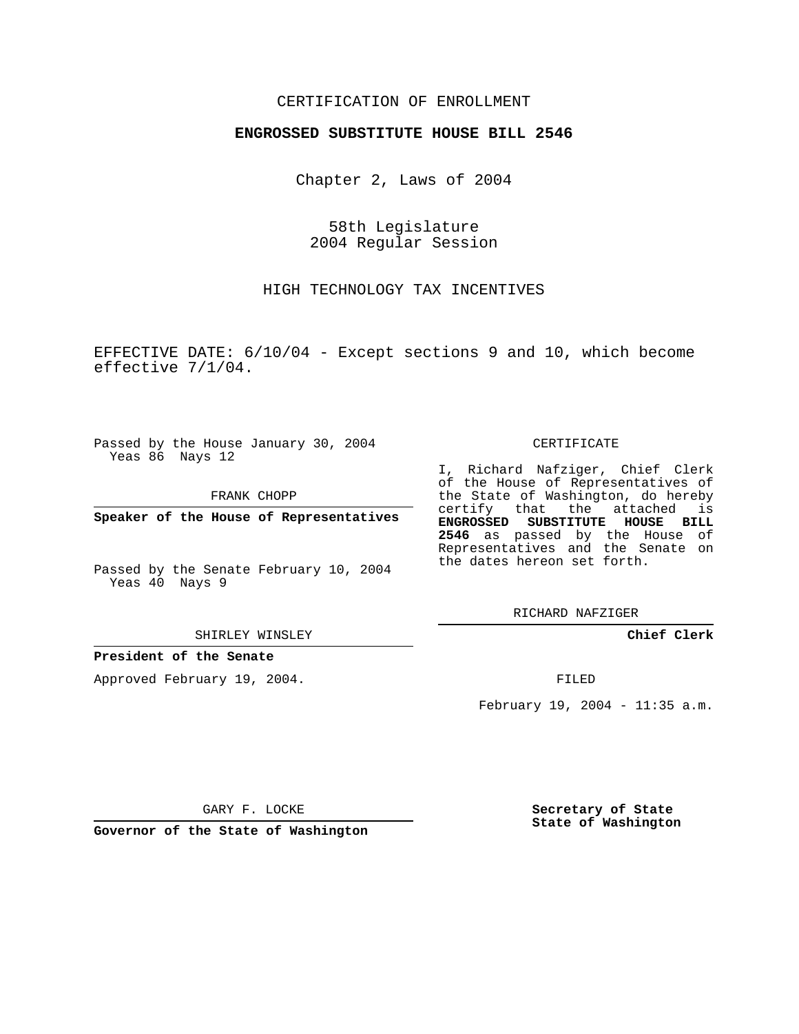### CERTIFICATION OF ENROLLMENT

#### **ENGROSSED SUBSTITUTE HOUSE BILL 2546**

Chapter 2, Laws of 2004

58th Legislature 2004 Regular Session

HIGH TECHNOLOGY TAX INCENTIVES

EFFECTIVE DATE: 6/10/04 - Except sections 9 and 10, which become effective 7/1/04.

Passed by the House January 30, 2004 Yeas 86 Nays 12

FRANK CHOPP

**Speaker of the House of Representatives**

Passed by the Senate February 10, 2004 Yeas 40 Nays 9

SHIRLEY WINSLEY

**President of the Senate**

Approved February 19, 2004.

#### CERTIFICATE

I, Richard Nafziger, Chief Clerk of the House of Representatives of the State of Washington, do hereby certify that the attached is **ENGROSSED SUBSTITUTE HOUSE BILL 2546** as passed by the House of Representatives and the Senate on the dates hereon set forth.

RICHARD NAFZIGER

**Chief Clerk**

FILED

February 19, 2004 - 11:35 a.m.

GARY F. LOCKE

**Governor of the State of Washington**

**Secretary of State State of Washington**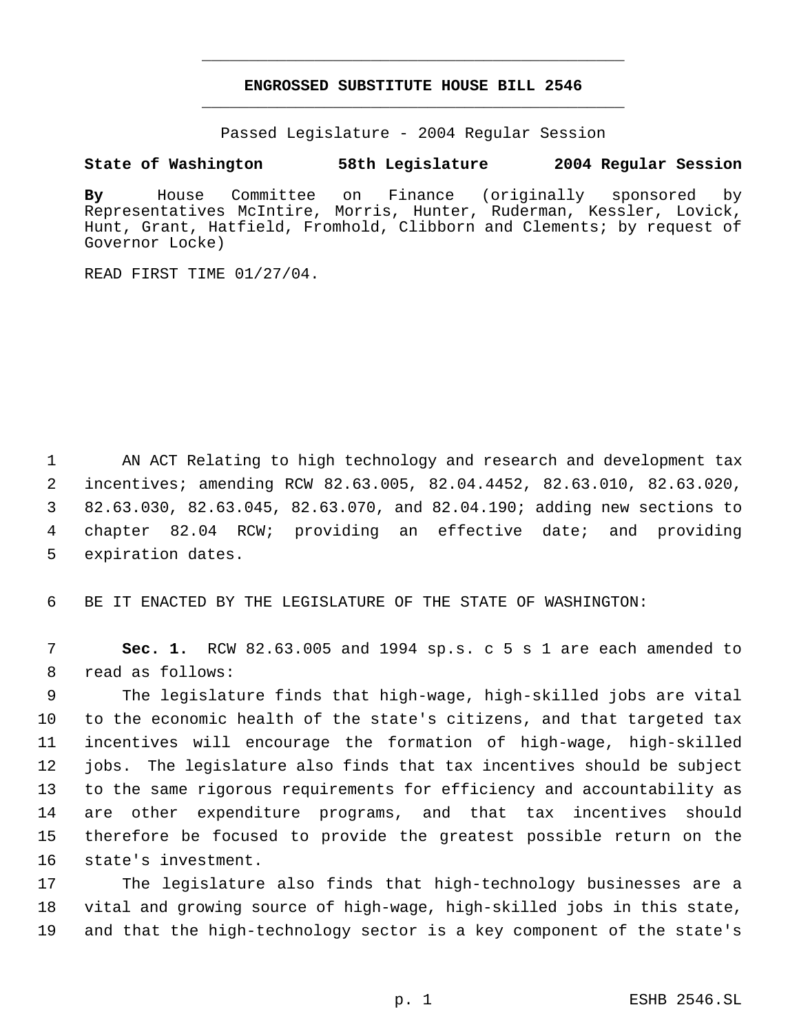## **ENGROSSED SUBSTITUTE HOUSE BILL 2546** \_\_\_\_\_\_\_\_\_\_\_\_\_\_\_\_\_\_\_\_\_\_\_\_\_\_\_\_\_\_\_\_\_\_\_\_\_\_\_\_\_\_\_\_\_

\_\_\_\_\_\_\_\_\_\_\_\_\_\_\_\_\_\_\_\_\_\_\_\_\_\_\_\_\_\_\_\_\_\_\_\_\_\_\_\_\_\_\_\_\_

Passed Legislature - 2004 Regular Session

### **State of Washington 58th Legislature 2004 Regular Session**

**By** House Committee on Finance (originally sponsored by Representatives McIntire, Morris, Hunter, Ruderman, Kessler, Lovick, Hunt, Grant, Hatfield, Fromhold, Clibborn and Clements; by request of Governor Locke)

READ FIRST TIME 01/27/04.

 AN ACT Relating to high technology and research and development tax incentives; amending RCW 82.63.005, 82.04.4452, 82.63.010, 82.63.020, 82.63.030, 82.63.045, 82.63.070, and 82.04.190; adding new sections to chapter 82.04 RCW; providing an effective date; and providing expiration dates.

BE IT ENACTED BY THE LEGISLATURE OF THE STATE OF WASHINGTON:

 **Sec. 1.** RCW 82.63.005 and 1994 sp.s. c 5 s 1 are each amended to read as follows:

 The legislature finds that high-wage, high-skilled jobs are vital to the economic health of the state's citizens, and that targeted tax incentives will encourage the formation of high-wage, high-skilled jobs. The legislature also finds that tax incentives should be subject to the same rigorous requirements for efficiency and accountability as are other expenditure programs, and that tax incentives should therefore be focused to provide the greatest possible return on the state's investment.

 The legislature also finds that high-technology businesses are a vital and growing source of high-wage, high-skilled jobs in this state, and that the high-technology sector is a key component of the state's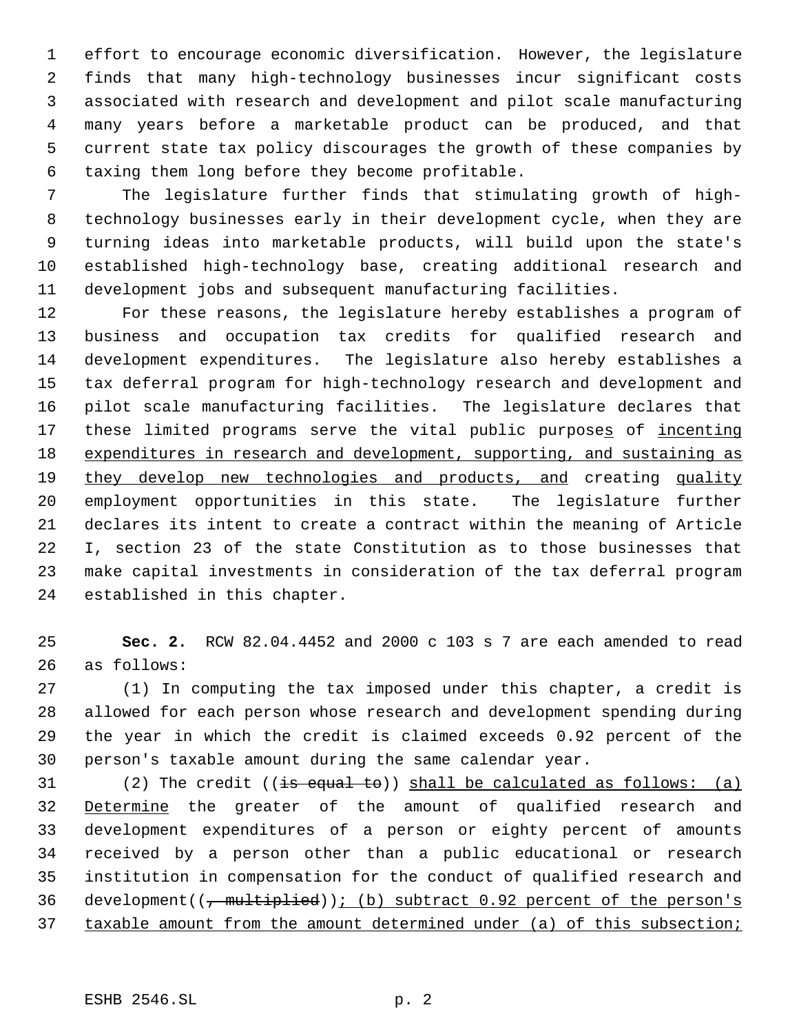effort to encourage economic diversification. However, the legislature finds that many high-technology businesses incur significant costs associated with research and development and pilot scale manufacturing many years before a marketable product can be produced, and that current state tax policy discourages the growth of these companies by taxing them long before they become profitable.

 The legislature further finds that stimulating growth of high- technology businesses early in their development cycle, when they are turning ideas into marketable products, will build upon the state's established high-technology base, creating additional research and development jobs and subsequent manufacturing facilities.

 For these reasons, the legislature hereby establishes a program of business and occupation tax credits for qualified research and development expenditures. The legislature also hereby establishes a tax deferral program for high-technology research and development and pilot scale manufacturing facilities. The legislature declares that 17 these limited programs serve the vital public purposes of incenting 18 expenditures in research and development, supporting, and sustaining as they develop new technologies and products, and creating quality employment opportunities in this state. The legislature further declares its intent to create a contract within the meaning of Article I, section 23 of the state Constitution as to those businesses that make capital investments in consideration of the tax deferral program established in this chapter.

 **Sec. 2.** RCW 82.04.4452 and 2000 c 103 s 7 are each amended to read as follows:

 (1) In computing the tax imposed under this chapter, a credit is allowed for each person whose research and development spending during the year in which the credit is claimed exceeds 0.92 percent of the person's taxable amount during the same calendar year.

31 (2) The credit  $((\frac{1}{15} \text{ equal to}) )$  shall be calculated as follows: (a) 32 Determine the greater of the amount of qualified research and development expenditures of a person or eighty percent of amounts received by a person other than a public educational or research institution in compensation for the conduct of qualified research and 36 development( $(\tau$  multiplied)); (b) subtract 0.92 percent of the person's 37 taxable amount from the amount determined under (a) of this subsection;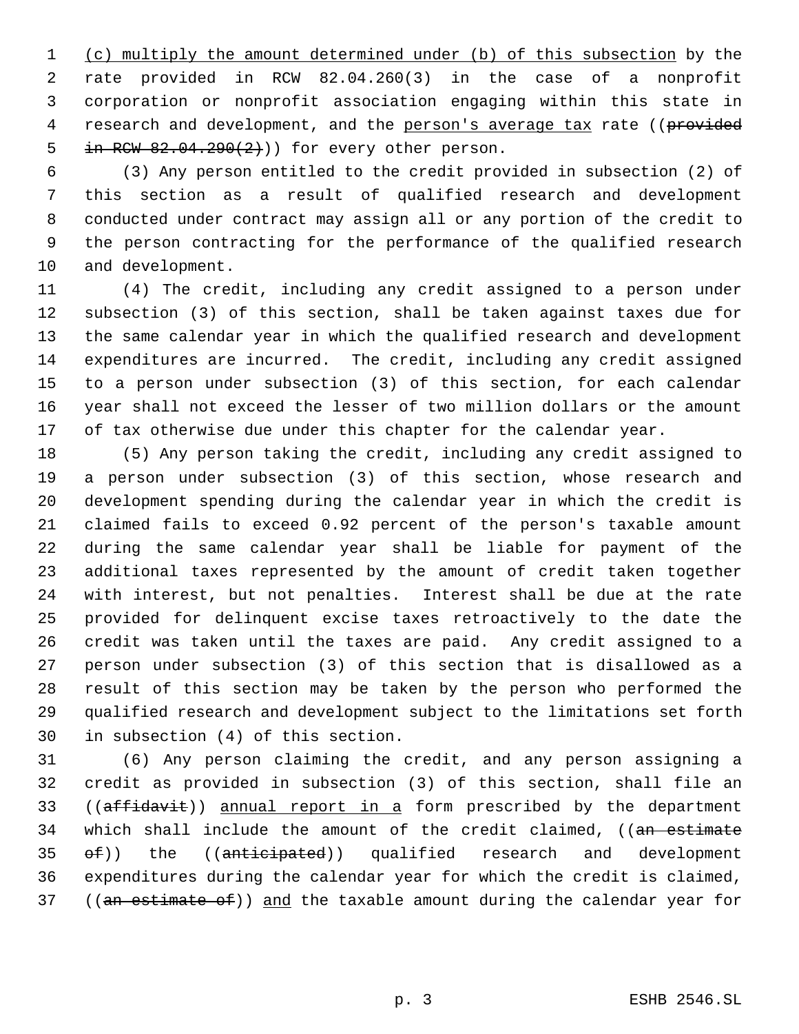(c) multiply the amount determined under (b) of this subsection by the rate provided in RCW 82.04.260(3) in the case of a nonprofit corporation or nonprofit association engaging within this state in 4 research and development, and the person's average tax rate ((provided 5 in RCW  $82.04.290(2)$ ) for every other person.

 (3) Any person entitled to the credit provided in subsection (2) of this section as a result of qualified research and development conducted under contract may assign all or any portion of the credit to the person contracting for the performance of the qualified research and development.

 (4) The credit, including any credit assigned to a person under subsection (3) of this section, shall be taken against taxes due for the same calendar year in which the qualified research and development expenditures are incurred. The credit, including any credit assigned to a person under subsection (3) of this section, for each calendar year shall not exceed the lesser of two million dollars or the amount 17 of tax otherwise due under this chapter for the calendar year.

 (5) Any person taking the credit, including any credit assigned to a person under subsection (3) of this section, whose research and development spending during the calendar year in which the credit is claimed fails to exceed 0.92 percent of the person's taxable amount during the same calendar year shall be liable for payment of the additional taxes represented by the amount of credit taken together with interest, but not penalties. Interest shall be due at the rate provided for delinquent excise taxes retroactively to the date the credit was taken until the taxes are paid. Any credit assigned to a person under subsection (3) of this section that is disallowed as a result of this section may be taken by the person who performed the qualified research and development subject to the limitations set forth in subsection (4) of this section.

 (6) Any person claiming the credit, and any person assigning a credit as provided in subsection (3) of this section, shall file an 33 ((affidavit)) annual report in a form prescribed by the department 34 which shall include the amount of the credit claimed, ((an estimate 35 of)) the ((anticipated)) qualified research and development expenditures during the calendar year for which the credit is claimed, 37 ((an estimate of)) and the taxable amount during the calendar year for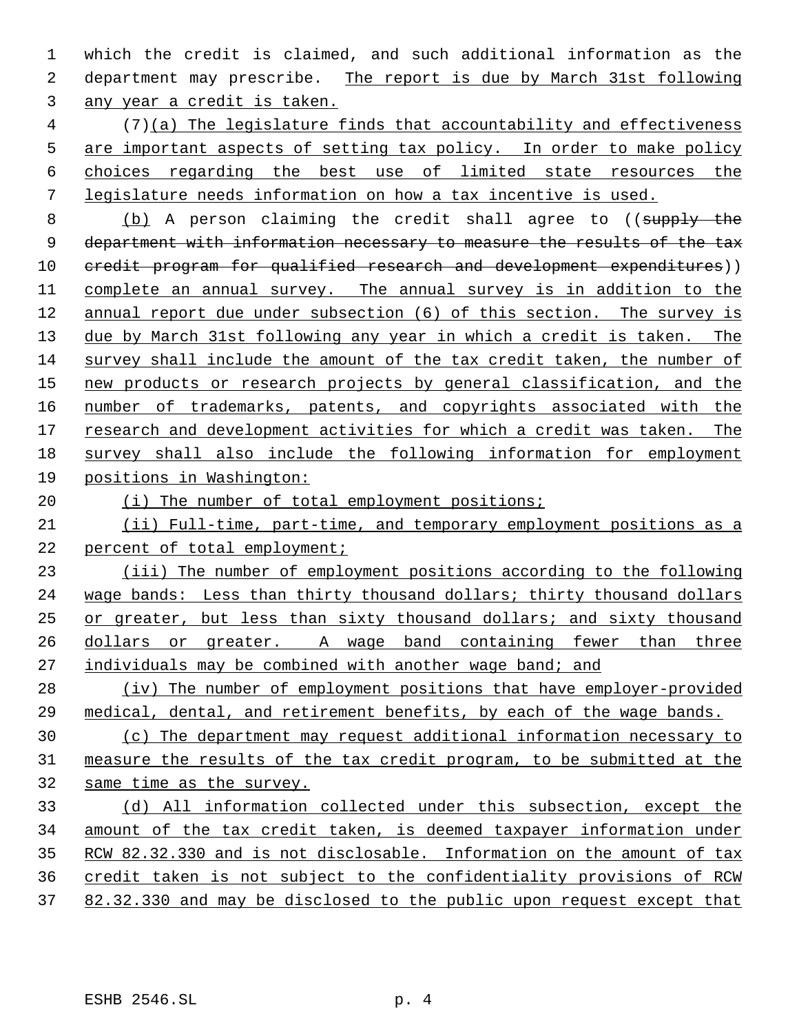which the credit is claimed, and such additional information as the department may prescribe. The report is due by March 31st following any year a credit is taken.

 (7)(a) The legislature finds that accountability and effectiveness are important aspects of setting tax policy. In order to make policy choices regarding the best use of limited state resources the legislature needs information on how a tax incentive is used.

8 (b) A person claiming the credit shall agree to ((supply the 9 department with information necessary to measure the results of the tax 10 credit program for qualified research and development expenditures)) complete an annual survey. The annual survey is in addition to the annual report due under subsection (6) of this section. The survey is due by March 31st following any year in which a credit is taken. The survey shall include the amount of the tax credit taken, the number of new products or research projects by general classification, and the 16 number of trademarks, patents, and copyrights associated with the research and development activities for which a credit was taken. The survey shall also include the following information for employment positions in Washington:

# 20 (i) The number of total employment positions;

 (ii) Full-time, part-time, and temporary employment positions as a percent of total employment;

 (iii) The number of employment positions according to the following wage bands: Less than thirty thousand dollars; thirty thousand dollars or greater, but less than sixty thousand dollars; and sixty thousand dollars or greater. A wage band containing fewer than three individuals may be combined with another wage band; and

 (iv) The number of employment positions that have employer-provided medical, dental, and retirement benefits, by each of the wage bands.

 (c) The department may request additional information necessary to measure the results of the tax credit program, to be submitted at the same time as the survey.

 (d) All information collected under this subsection, except the amount of the tax credit taken, is deemed taxpayer information under RCW 82.32.330 and is not disclosable. Information on the amount of tax credit taken is not subject to the confidentiality provisions of RCW 82.32.330 and may be disclosed to the public upon request except that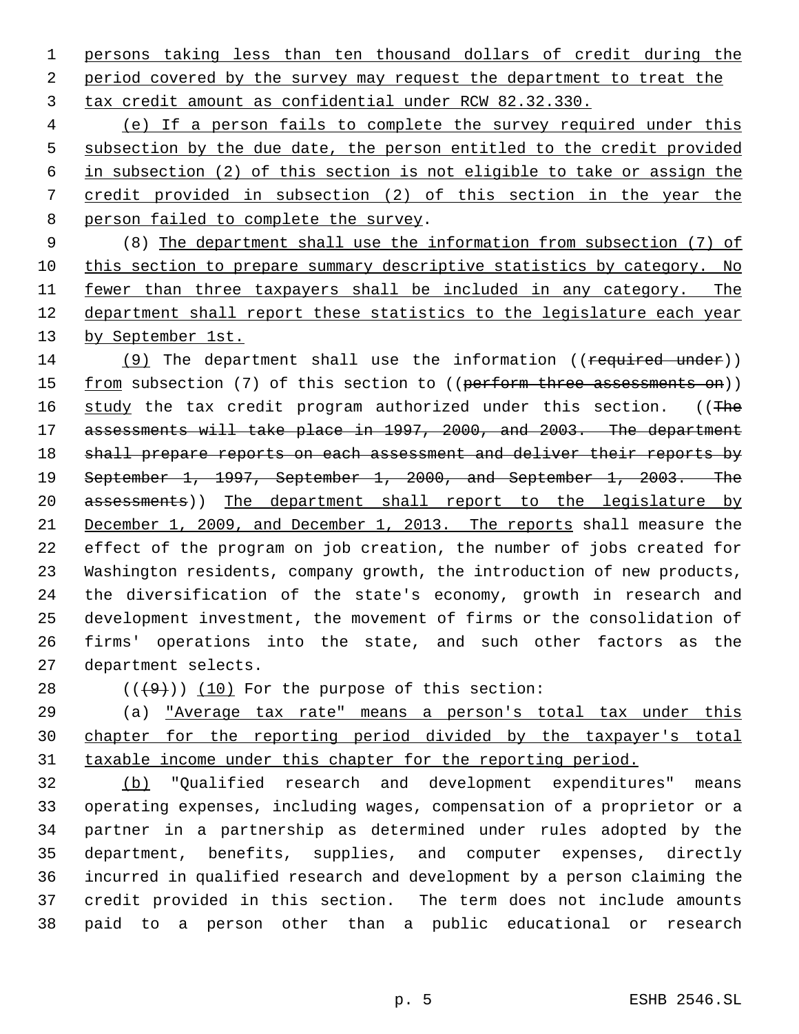persons taking less than ten thousand dollars of credit during the 2 period covered by the survey may request the department to treat the tax credit amount as confidential under RCW 82.32.330.

 (e) If a person fails to complete the survey required under this subsection by the due date, the person entitled to the credit provided in subsection (2) of this section is not eligible to take or assign the credit provided in subsection (2) of this section in the year the 8 person failed to complete the survey.

 (8) The department shall use the information from subsection (7) of this section to prepare summary descriptive statistics by category. No 11 fewer than three taxpayers shall be included in any category. The department shall report these statistics to the legislature each year 13 by September 1st.

14 (9) The department shall use the information ((required under)) 15 from subsection (7) of this section to ((perform three assessments on)) 16 study the tax credit program authorized under this section. ((The assessments will take place in 1997, 2000, and 2003. The department 18 shall prepare reports on each assessment and deliver their reports by September 1, 1997, September 1, 2000, and September 1, 2003. The 20 assessments)) The department shall report to the legislature by December 1, 2009, and December 1, 2013. The reports shall measure the effect of the program on job creation, the number of jobs created for Washington residents, company growth, the introduction of new products, the diversification of the state's economy, growth in research and development investment, the movement of firms or the consolidation of firms' operations into the state, and such other factors as the department selects.

28  $((+9))$   $(10)$  For the purpose of this section:

 (a) "Average tax rate" means a person's total tax under this chapter for the reporting period divided by the taxpayer's total 31 taxable income under this chapter for the reporting period.

 (b) "Qualified research and development expenditures" means operating expenses, including wages, compensation of a proprietor or a partner in a partnership as determined under rules adopted by the department, benefits, supplies, and computer expenses, directly incurred in qualified research and development by a person claiming the credit provided in this section. The term does not include amounts paid to a person other than a public educational or research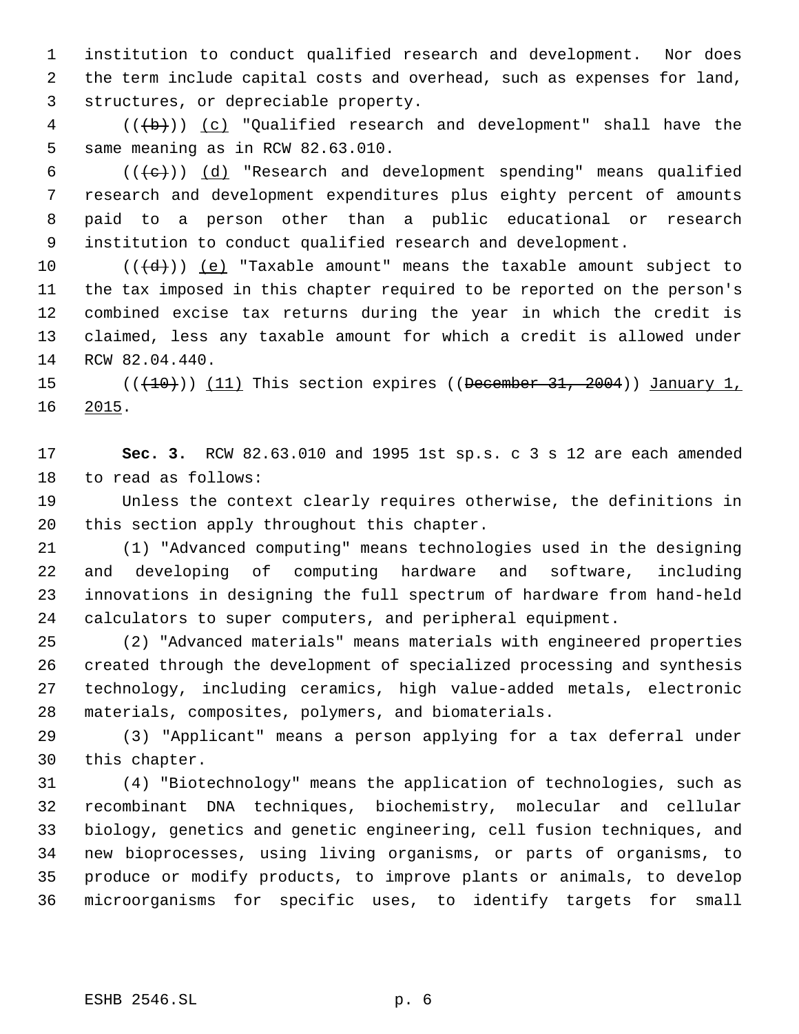institution to conduct qualified research and development. Nor does the term include capital costs and overhead, such as expenses for land, structures, or depreciable property.

 (( $\left(\frac{1}{b}\right)$ ) (c) "Qualified research and development" shall have the same meaning as in RCW 82.63.010.

 $((+e))$   $(d)$  "Research and development spending" means qualified research and development expenditures plus eighty percent of amounts paid to a person other than a public educational or research institution to conduct qualified research and development.

 $((\{d\}))(e)$  "Taxable amount" means the taxable amount subject to the tax imposed in this chapter required to be reported on the person's combined excise tax returns during the year in which the credit is claimed, less any taxable amount for which a credit is allowed under RCW 82.04.440.

15 (((+10))) (11) This section expires ((December 31, 2004)) January 1, 2015.

 **Sec. 3.** RCW 82.63.010 and 1995 1st sp.s. c 3 s 12 are each amended to read as follows:

 Unless the context clearly requires otherwise, the definitions in this section apply throughout this chapter.

 (1) "Advanced computing" means technologies used in the designing and developing of computing hardware and software, including innovations in designing the full spectrum of hardware from hand-held calculators to super computers, and peripheral equipment.

 (2) "Advanced materials" means materials with engineered properties created through the development of specialized processing and synthesis technology, including ceramics, high value-added metals, electronic materials, composites, polymers, and biomaterials.

 (3) "Applicant" means a person applying for a tax deferral under this chapter.

 (4) "Biotechnology" means the application of technologies, such as recombinant DNA techniques, biochemistry, molecular and cellular biology, genetics and genetic engineering, cell fusion techniques, and new bioprocesses, using living organisms, or parts of organisms, to produce or modify products, to improve plants or animals, to develop microorganisms for specific uses, to identify targets for small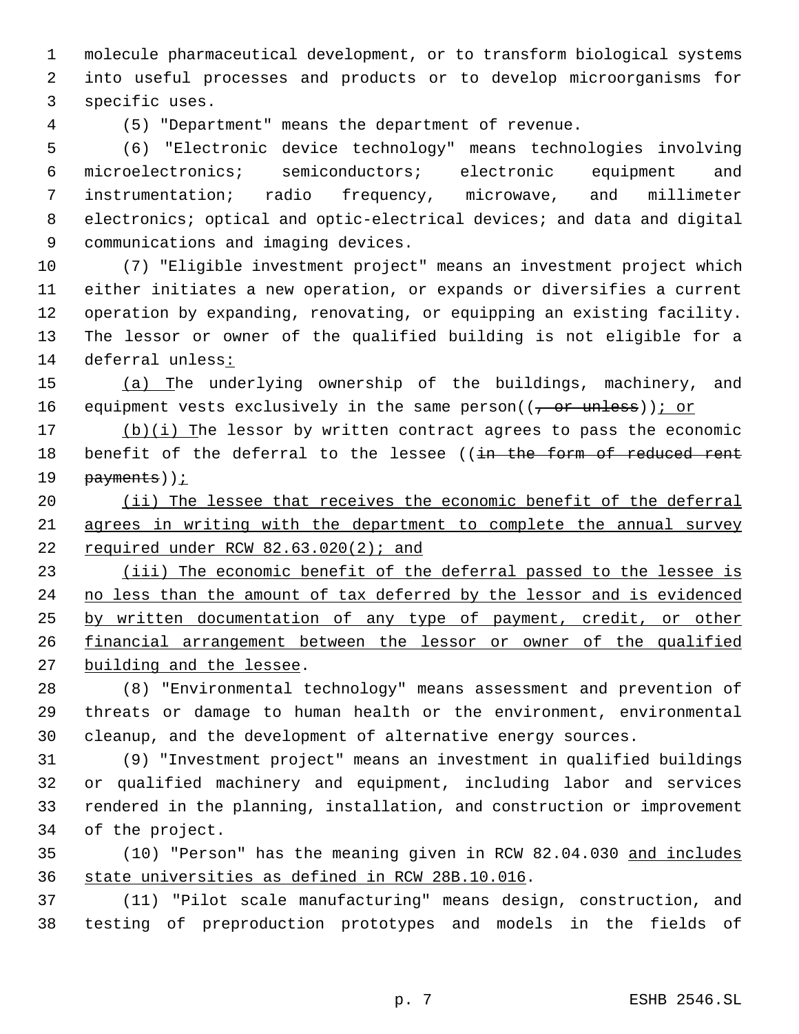molecule pharmaceutical development, or to transform biological systems into useful processes and products or to develop microorganisms for specific uses.

(5) "Department" means the department of revenue.

 (6) "Electronic device technology" means technologies involving microelectronics; semiconductors; electronic equipment and instrumentation; radio frequency, microwave, and millimeter 8 electronics; optical and optic-electrical devices; and data and digital communications and imaging devices.

 (7) "Eligible investment project" means an investment project which either initiates a new operation, or expands or diversifies a current operation by expanding, renovating, or equipping an existing facility. The lessor or owner of the qualified building is not eligible for a deferral unless:

 (a) The underlying ownership of the buildings, machinery, and 16 equipment vests exclusively in the same person( $(\tau$  or unless)); or

 (b)(i) The lessor by written contract agrees to pass the economic 18 benefit of the deferral to the lessee ((in the form of reduced rent 19 payments));

20 (ii) The lessee that receives the economic benefit of the deferral agrees in writing with the department to complete the annual survey 22 required under RCW  $82.63.020(2)$ ; and

23 (iii) The economic benefit of the deferral passed to the lessee is 24 no less than the amount of tax deferred by the lessor and is evidenced 25 by written documentation of any type of payment, credit, or other financial arrangement between the lessor or owner of the qualified building and the lessee.

 (8) "Environmental technology" means assessment and prevention of threats or damage to human health or the environment, environmental cleanup, and the development of alternative energy sources.

 (9) "Investment project" means an investment in qualified buildings or qualified machinery and equipment, including labor and services rendered in the planning, installation, and construction or improvement of the project.

 (10) "Person" has the meaning given in RCW 82.04.030 and includes state universities as defined in RCW 28B.10.016.

 (11) "Pilot scale manufacturing" means design, construction, and testing of preproduction prototypes and models in the fields of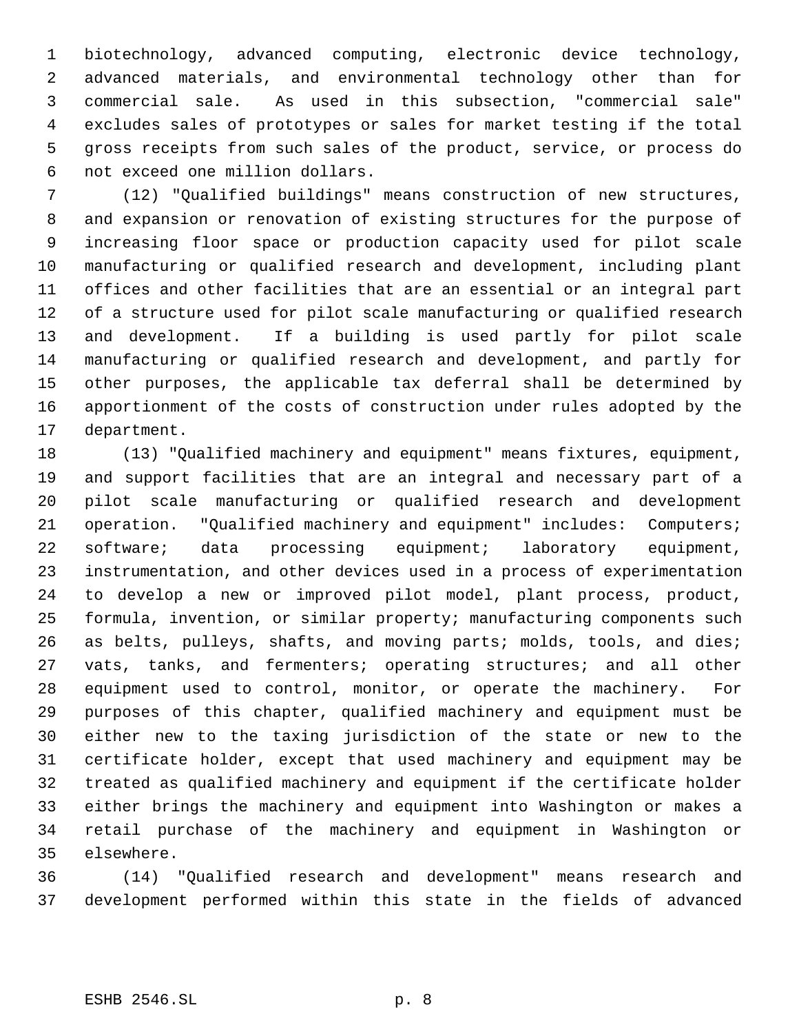biotechnology, advanced computing, electronic device technology, advanced materials, and environmental technology other than for commercial sale. As used in this subsection, "commercial sale" excludes sales of prototypes or sales for market testing if the total gross receipts from such sales of the product, service, or process do not exceed one million dollars.

 (12) "Qualified buildings" means construction of new structures, and expansion or renovation of existing structures for the purpose of increasing floor space or production capacity used for pilot scale manufacturing or qualified research and development, including plant offices and other facilities that are an essential or an integral part of a structure used for pilot scale manufacturing or qualified research and development. If a building is used partly for pilot scale manufacturing or qualified research and development, and partly for other purposes, the applicable tax deferral shall be determined by apportionment of the costs of construction under rules adopted by the department.

 (13) "Qualified machinery and equipment" means fixtures, equipment, and support facilities that are an integral and necessary part of a pilot scale manufacturing or qualified research and development operation. "Qualified machinery and equipment" includes: Computers; software; data processing equipment; laboratory equipment, instrumentation, and other devices used in a process of experimentation to develop a new or improved pilot model, plant process, product, formula, invention, or similar property; manufacturing components such as belts, pulleys, shafts, and moving parts; molds, tools, and dies; vats, tanks, and fermenters; operating structures; and all other equipment used to control, monitor, or operate the machinery. For purposes of this chapter, qualified machinery and equipment must be either new to the taxing jurisdiction of the state or new to the certificate holder, except that used machinery and equipment may be treated as qualified machinery and equipment if the certificate holder either brings the machinery and equipment into Washington or makes a retail purchase of the machinery and equipment in Washington or elsewhere.

 (14) "Qualified research and development" means research and development performed within this state in the fields of advanced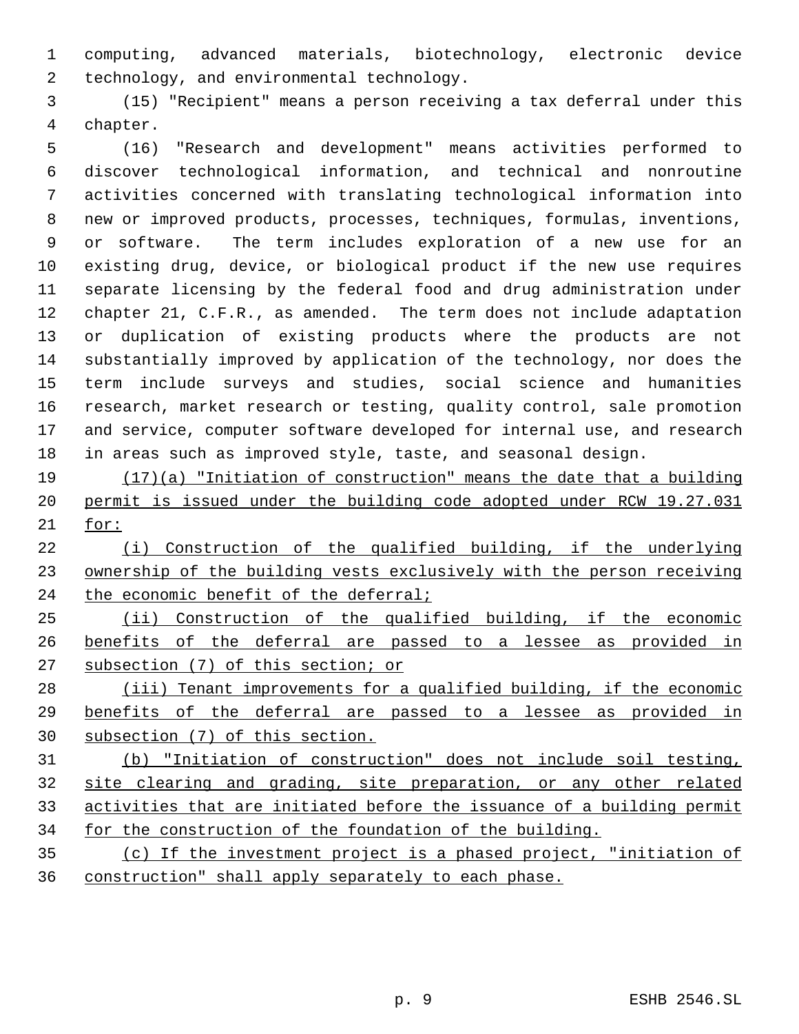computing, advanced materials, biotechnology, electronic device technology, and environmental technology.

 (15) "Recipient" means a person receiving a tax deferral under this chapter.

 (16) "Research and development" means activities performed to discover technological information, and technical and nonroutine activities concerned with translating technological information into new or improved products, processes, techniques, formulas, inventions, or software. The term includes exploration of a new use for an existing drug, device, or biological product if the new use requires separate licensing by the federal food and drug administration under chapter 21, C.F.R., as amended. The term does not include adaptation or duplication of existing products where the products are not substantially improved by application of the technology, nor does the term include surveys and studies, social science and humanities research, market research or testing, quality control, sale promotion and service, computer software developed for internal use, and research in areas such as improved style, taste, and seasonal design.

 (17)(a) "Initiation of construction" means the date that a building permit is issued under the building code adopted under RCW 19.27.031 for:

 (i) Construction of the qualified building, if the underlying ownership of the building vests exclusively with the person receiving 24 the economic benefit of the deferral;

 (ii) Construction of the qualified building, if the economic benefits of the deferral are passed to a lessee as provided in subsection (7) of this section; or

28 (iii) Tenant improvements for a qualified building, if the economic benefits of the deferral are passed to a lessee as provided in subsection (7) of this section.

 (b) "Initiation of construction" does not include soil testing, site clearing and grading, site preparation, or any other related activities that are initiated before the issuance of a building permit for the construction of the foundation of the building.

 (c) If the investment project is a phased project, "initiation of construction" shall apply separately to each phase.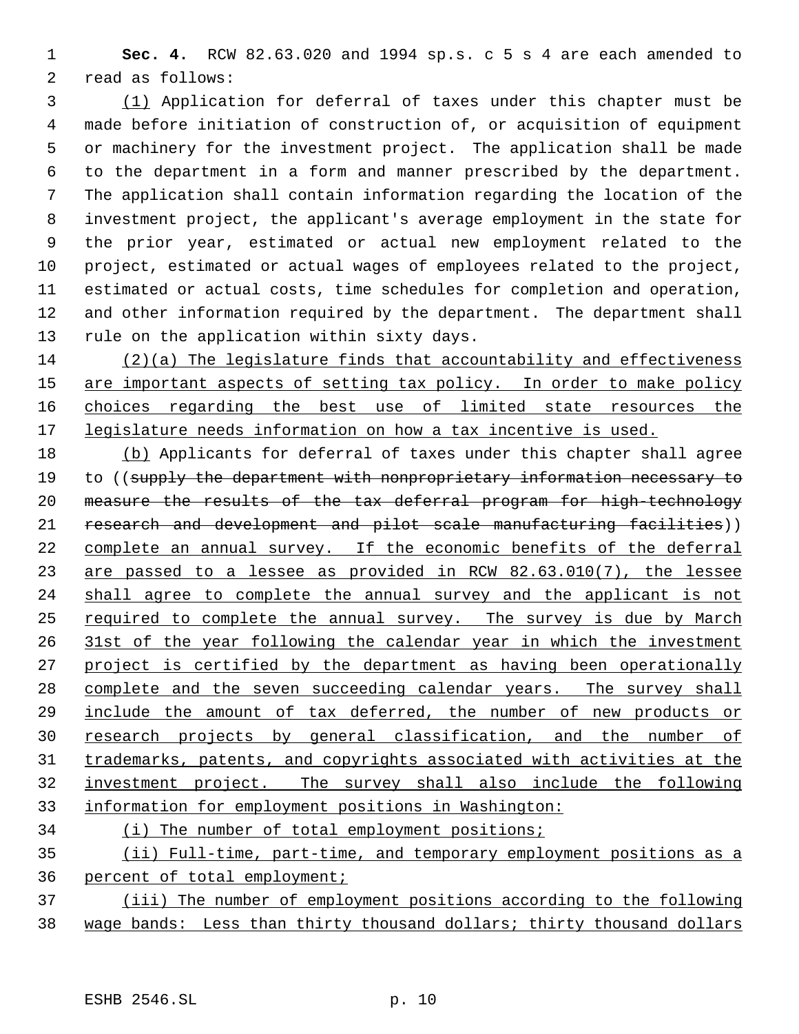**Sec. 4.** RCW 82.63.020 and 1994 sp.s. c 5 s 4 are each amended to read as follows:

 (1) Application for deferral of taxes under this chapter must be made before initiation of construction of, or acquisition of equipment or machinery for the investment project. The application shall be made to the department in a form and manner prescribed by the department. The application shall contain information regarding the location of the investment project, the applicant's average employment in the state for the prior year, estimated or actual new employment related to the project, estimated or actual wages of employees related to the project, estimated or actual costs, time schedules for completion and operation, and other information required by the department. The department shall rule on the application within sixty days.

 (2)(a) The legislature finds that accountability and effectiveness 15 are important aspects of setting tax policy. In order to make policy 16 choices regarding the best use of limited state resources the 17 legislature needs information on how a tax incentive is used.

 (b) Applicants for deferral of taxes under this chapter shall agree 19 to ((supply the department with nonproprietary information necessary to measure the results of the tax deferral program for high-technology research and development and pilot scale manufacturing facilities)) complete an annual survey. If the economic benefits of the deferral are passed to a lessee as provided in RCW 82.63.010(7), the lessee 24 shall agree to complete the annual survey and the applicant is not required to complete the annual survey. The survey is due by March 31st of the year following the calendar year in which the investment 27 project is certified by the department as having been operationally 28 complete and the seven succeeding calendar years. The survey shall include the amount of tax deferred, the number of new products or research projects by general classification, and the number of trademarks, patents, and copyrights associated with activities at the investment project. The survey shall also include the following information for employment positions in Washington:

# (i) The number of total employment positions;

 (ii) Full-time, part-time, and temporary employment positions as a percent of total employment;

 (iii) The number of employment positions according to the following wage bands: Less than thirty thousand dollars; thirty thousand dollars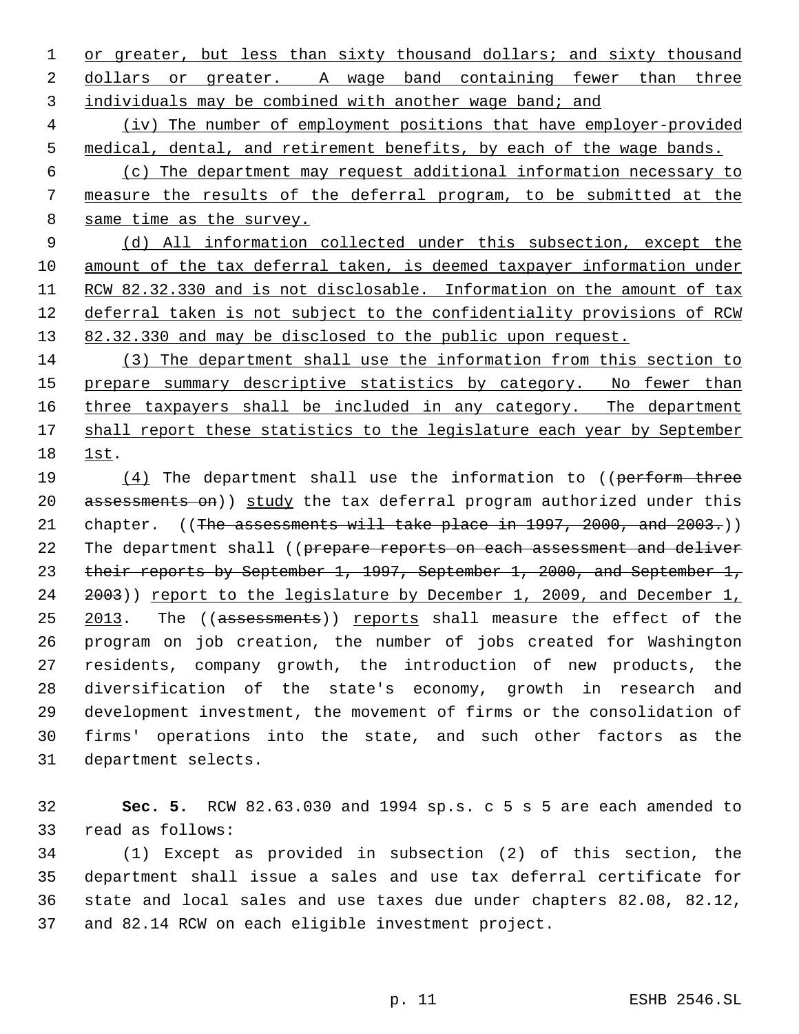1 or greater, but less than sixty thousand dollars; and sixty thousand 2 dollars or greater. A wage band containing fewer than three 3 individuals may be combined with another wage band; and

 4 (iv) The number of employment positions that have employer-provided 5 medical, dental, and retirement benefits, by each of the wage bands.

 6 (c) The department may request additional information necessary to 7 measure the results of the deferral program, to be submitted at the 8 same time as the survey.

 9 (d) All information collected under this subsection, except the 10 amount of the tax deferral taken, is deemed taxpayer information under 11 RCW 82.32.330 and is not disclosable. Information on the amount of tax 12 deferral taken is not subject to the confidentiality provisions of RCW 13 82.32.330 and may be disclosed to the public upon request.

14 (3) The department shall use the information from this section to 15 prepare summary descriptive statistics by category. No fewer than 16 three taxpayers shall be included in any category. The department 17 shall report these statistics to the legislature each year by September 18 1st.

19 (4) The department shall use the information to ((perform three 20 assessments on)) study the tax deferral program authorized under this 21 chapter.  $((The ~~assessments will~~ take place in 1997, 2000, and 2003.) )$ 22 The department shall ((prepare reports on each assessment and deliver 23 their reports by September 1, 1997, September 1, 2000, and September 1, 24 2003)) report to the legislature by December 1, 2009, and December 1, 25 2013. The ((assessments)) reports shall measure the effect of the 26 program on job creation, the number of jobs created for Washington 27 residents, company growth, the introduction of new products, the 28 diversification of the state's economy, growth in research and 29 development investment, the movement of firms or the consolidation of 30 firms' operations into the state, and such other factors as the 31 department selects.

32 **Sec. 5.** RCW 82.63.030 and 1994 sp.s. c 5 s 5 are each amended to 33 read as follows:

 (1) Except as provided in subsection (2) of this section, the department shall issue a sales and use tax deferral certificate for state and local sales and use taxes due under chapters 82.08, 82.12, and 82.14 RCW on each eligible investment project.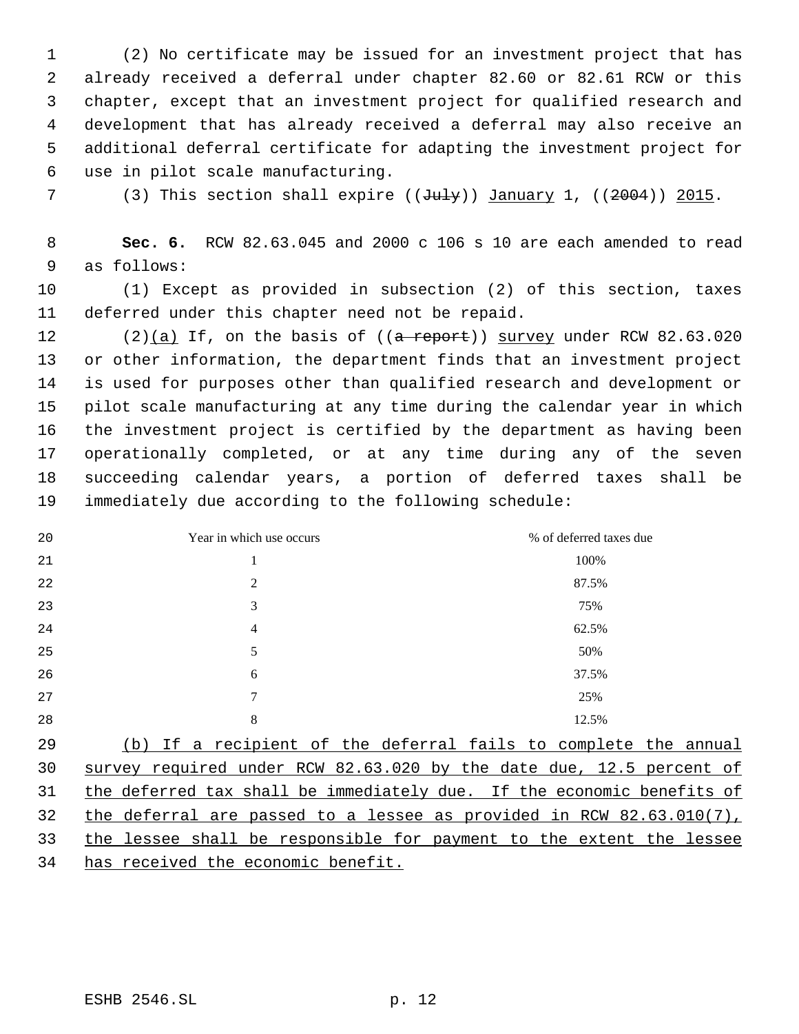(2) No certificate may be issued for an investment project that has already received a deferral under chapter 82.60 or 82.61 RCW or this chapter, except that an investment project for qualified research and development that has already received a deferral may also receive an additional deferral certificate for adapting the investment project for use in pilot scale manufacturing.

7 (3) This section shall expire  $((\text{July}))$  January 1,  $((2004))$  2015.

 **Sec. 6.** RCW 82.63.045 and 2000 c 106 s 10 are each amended to read as follows:

 (1) Except as provided in subsection (2) of this section, taxes deferred under this chapter need not be repaid.

12 (2)(a) If, on the basis of  $((a$  report)) survey under RCW 82.63.020 or other information, the department finds that an investment project is used for purposes other than qualified research and development or pilot scale manufacturing at any time during the calendar year in which the investment project is certified by the department as having been operationally completed, or at any time during any of the seven succeeding calendar years, a portion of deferred taxes shall be immediately due according to the following schedule:

| 20 | Year in which use occurs | % of deferred taxes due                                       |
|----|--------------------------|---------------------------------------------------------------|
| 21 |                          | 100%                                                          |
| 22 | 2                        | 87.5%                                                         |
| 23 | 3                        | 75%                                                           |
| 24 | 4                        | 62.5%                                                         |
| 25 | 5                        | 50%                                                           |
| 26 | 6                        | 37.5%                                                         |
| 27 | 7                        | 25%                                                           |
| 28 | 8                        | 12.5%                                                         |
| 29 | (b)                      | If a recipient of the deferral fails to complete the annual   |
| 30 | survey                   | required under RCW 82.63.020 by the date due, 12.5 percent of |

 the deferral are passed to a lessee as provided in RCW 82.63.010(7), the lessee shall be responsible for payment to the extent the lessee

31 the deferred tax shall be immediately due. If the economic benefits of

has received the economic benefit.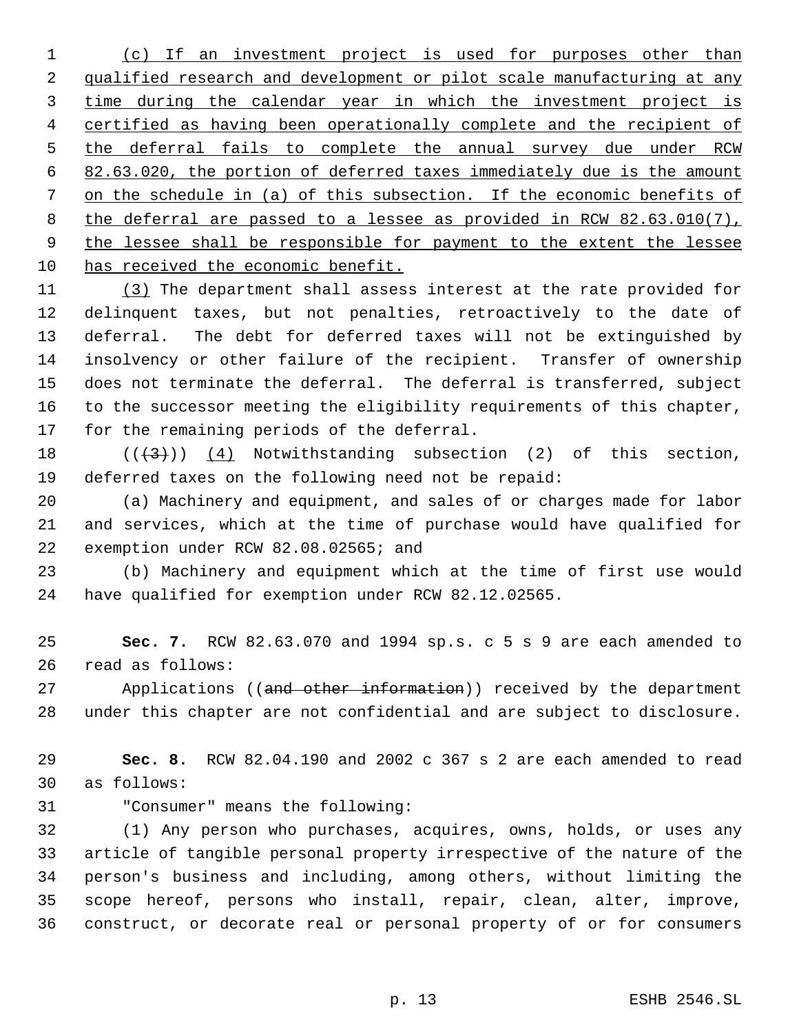(c) If an investment project is used for purposes other than qualified research and development or pilot scale manufacturing at any time during the calendar year in which the investment project is 4 certified as having been operationally complete and the recipient of 5 the deferral fails to complete the annual survey due under RCW 82.63.020, the portion of deferred taxes immediately due is the amount on the schedule in (a) of this subsection. If the economic benefits of the deferral are passed to a lessee as provided in RCW 82.63.010(7), 9 the lessee shall be responsible for payment to the extent the lessee has received the economic benefit.

 (3) The department shall assess interest at the rate provided for delinquent taxes, but not penalties, retroactively to the date of deferral. The debt for deferred taxes will not be extinguished by insolvency or other failure of the recipient. Transfer of ownership does not terminate the deferral. The deferral is transferred, subject to the successor meeting the eligibility requirements of this chapter, for the remaining periods of the deferral.

18  $((+3))$   $(4)$  Notwithstanding subsection (2) of this section, deferred taxes on the following need not be repaid:

 (a) Machinery and equipment, and sales of or charges made for labor and services, which at the time of purchase would have qualified for exemption under RCW 82.08.02565; and

 (b) Machinery and equipment which at the time of first use would have qualified for exemption under RCW 82.12.02565.

 **Sec. 7.** RCW 82.63.070 and 1994 sp.s. c 5 s 9 are each amended to read as follows:

27 Applications ((and other information)) received by the department under this chapter are not confidential and are subject to disclosure.

 **Sec. 8.** RCW 82.04.190 and 2002 c 367 s 2 are each amended to read as follows:

"Consumer" means the following:

 (1) Any person who purchases, acquires, owns, holds, or uses any article of tangible personal property irrespective of the nature of the person's business and including, among others, without limiting the scope hereof, persons who install, repair, clean, alter, improve, construct, or decorate real or personal property of or for consumers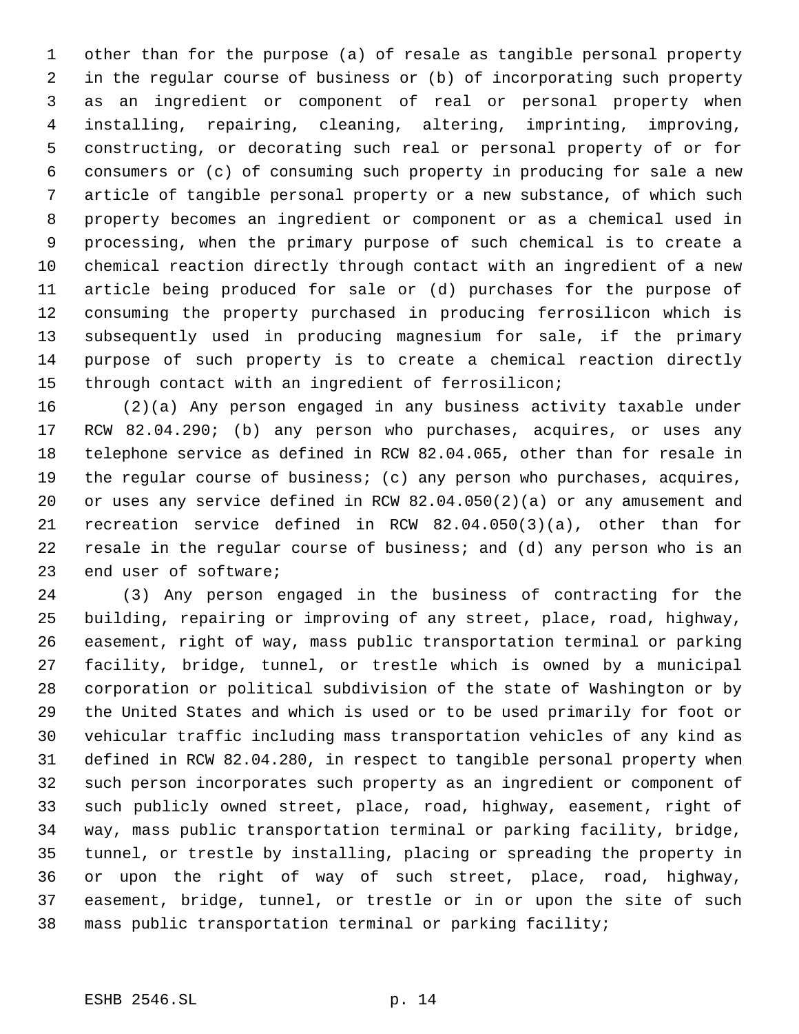other than for the purpose (a) of resale as tangible personal property in the regular course of business or (b) of incorporating such property as an ingredient or component of real or personal property when installing, repairing, cleaning, altering, imprinting, improving, constructing, or decorating such real or personal property of or for consumers or (c) of consuming such property in producing for sale a new article of tangible personal property or a new substance, of which such property becomes an ingredient or component or as a chemical used in processing, when the primary purpose of such chemical is to create a chemical reaction directly through contact with an ingredient of a new article being produced for sale or (d) purchases for the purpose of consuming the property purchased in producing ferrosilicon which is subsequently used in producing magnesium for sale, if the primary purpose of such property is to create a chemical reaction directly through contact with an ingredient of ferrosilicon;

 (2)(a) Any person engaged in any business activity taxable under RCW 82.04.290; (b) any person who purchases, acquires, or uses any telephone service as defined in RCW 82.04.065, other than for resale in the regular course of business; (c) any person who purchases, acquires, or uses any service defined in RCW 82.04.050(2)(a) or any amusement and recreation service defined in RCW 82.04.050(3)(a), other than for resale in the regular course of business; and (d) any person who is an end user of software;

 (3) Any person engaged in the business of contracting for the building, repairing or improving of any street, place, road, highway, easement, right of way, mass public transportation terminal or parking facility, bridge, tunnel, or trestle which is owned by a municipal corporation or political subdivision of the state of Washington or by the United States and which is used or to be used primarily for foot or vehicular traffic including mass transportation vehicles of any kind as defined in RCW 82.04.280, in respect to tangible personal property when such person incorporates such property as an ingredient or component of such publicly owned street, place, road, highway, easement, right of way, mass public transportation terminal or parking facility, bridge, tunnel, or trestle by installing, placing or spreading the property in or upon the right of way of such street, place, road, highway, easement, bridge, tunnel, or trestle or in or upon the site of such mass public transportation terminal or parking facility;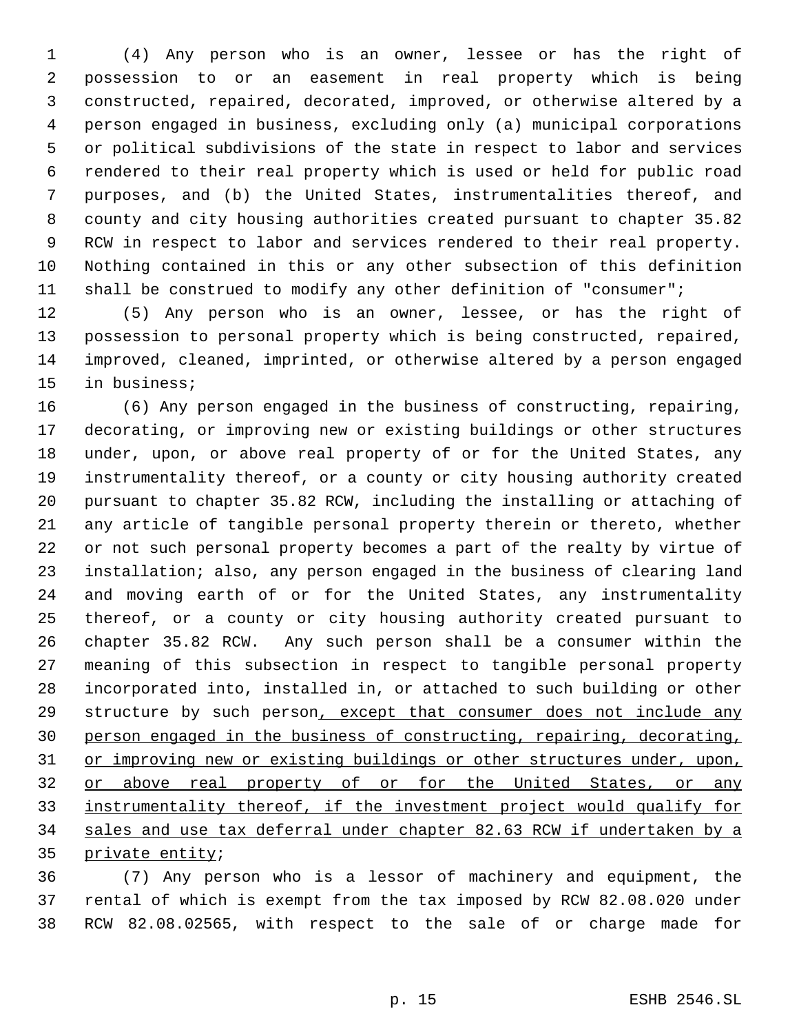(4) Any person who is an owner, lessee or has the right of possession to or an easement in real property which is being constructed, repaired, decorated, improved, or otherwise altered by a person engaged in business, excluding only (a) municipal corporations or political subdivisions of the state in respect to labor and services rendered to their real property which is used or held for public road purposes, and (b) the United States, instrumentalities thereof, and county and city housing authorities created pursuant to chapter 35.82 RCW in respect to labor and services rendered to their real property. Nothing contained in this or any other subsection of this definition shall be construed to modify any other definition of "consumer";

 (5) Any person who is an owner, lessee, or has the right of possession to personal property which is being constructed, repaired, improved, cleaned, imprinted, or otherwise altered by a person engaged in business;

 (6) Any person engaged in the business of constructing, repairing, decorating, or improving new or existing buildings or other structures under, upon, or above real property of or for the United States, any instrumentality thereof, or a county or city housing authority created pursuant to chapter 35.82 RCW, including the installing or attaching of any article of tangible personal property therein or thereto, whether or not such personal property becomes a part of the realty by virtue of installation; also, any person engaged in the business of clearing land and moving earth of or for the United States, any instrumentality thereof, or a county or city housing authority created pursuant to chapter 35.82 RCW. Any such person shall be a consumer within the meaning of this subsection in respect to tangible personal property incorporated into, installed in, or attached to such building or other 29 structure by such person, except that consumer does not include any person engaged in the business of constructing, repairing, decorating, 31 or improving new or existing buildings or other structures under, upon, or above real property of or for the United States, or any instrumentality thereof, if the investment project would qualify for sales and use tax deferral under chapter 82.63 RCW if undertaken by a private entity;

 (7) Any person who is a lessor of machinery and equipment, the rental of which is exempt from the tax imposed by RCW 82.08.020 under RCW 82.08.02565, with respect to the sale of or charge made for